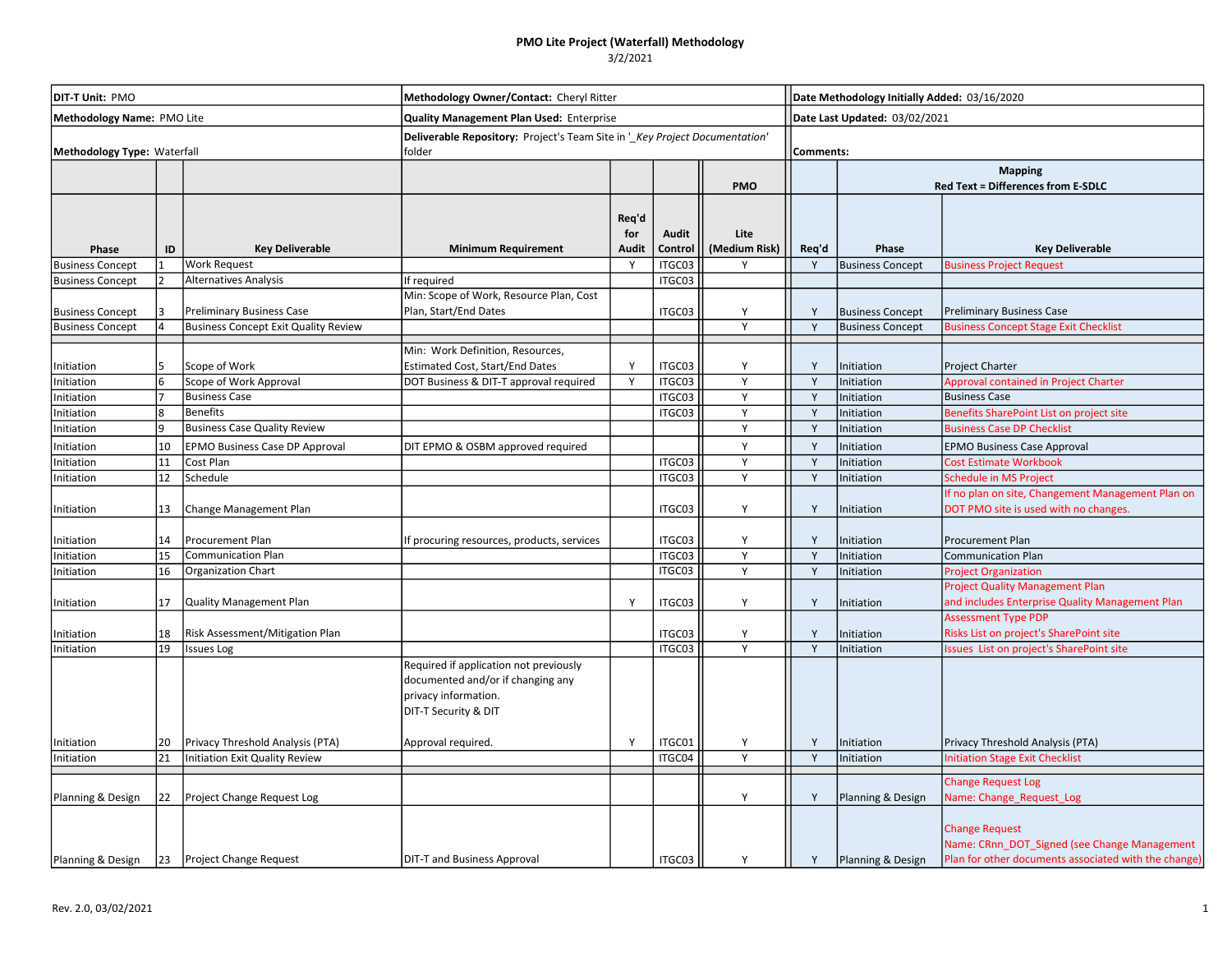## PMO Lite Project (Waterfall) Methodology

### 3/2/2021

| DIT-T Unit: PMO<br>Methodology Name: PMO Lite<br>Methodology Type: Waterfall |    |                                             | Methodology Owner/Contact: Cheryl Ritter<br>Quality Management Plan Used: Enterprise<br>Deliverable Repository: Project's Team Site in '_Key Project Documentation'<br>folder |                              |                  |                       |       | Date Methodology Initially Added: 03/16/2020<br>Date Last Updated: 03/02/2021<br>Comments: |                                                                                                                               |  |  |  |  |  |  |  |  |            |  |  |                                           |
|------------------------------------------------------------------------------|----|---------------------------------------------|-------------------------------------------------------------------------------------------------------------------------------------------------------------------------------|------------------------------|------------------|-----------------------|-------|--------------------------------------------------------------------------------------------|-------------------------------------------------------------------------------------------------------------------------------|--|--|--|--|--|--|--|--|------------|--|--|-------------------------------------------|
|                                                                              |    |                                             |                                                                                                                                                                               |                              |                  |                       |       |                                                                                            |                                                                                                                               |  |  |  |  |  |  |  |  |            |  |  | <b>Mapping</b>                            |
|                                                                              |    |                                             |                                                                                                                                                                               |                              |                  |                       |       |                                                                                            |                                                                                                                               |  |  |  |  |  |  |  |  | <b>PMO</b> |  |  | <b>Red Text = Differences from E-SDLC</b> |
| Phase                                                                        | ID | <b>Key Deliverable</b>                      | <b>Minimum Requirement</b>                                                                                                                                                    | Req'd<br>for<br><b>Audit</b> | Audit<br>Control | Lite<br>(Medium Risk) | Req'd | Phase                                                                                      | <b>Key Deliverable</b>                                                                                                        |  |  |  |  |  |  |  |  |            |  |  |                                           |
| <b>Business Concept</b>                                                      |    | <b>Work Request</b>                         |                                                                                                                                                                               | Y                            | ITGC03           | Y                     | Y     | <b>Business Concept</b>                                                                    | <b>Business Project Request</b>                                                                                               |  |  |  |  |  |  |  |  |            |  |  |                                           |
| <b>Business Concept</b>                                                      |    | <b>Alternatives Analysis</b>                | If required                                                                                                                                                                   |                              | ITGC03           |                       |       |                                                                                            |                                                                                                                               |  |  |  |  |  |  |  |  |            |  |  |                                           |
| <b>Business Concept</b>                                                      |    | <b>Preliminary Business Case</b>            | Min: Scope of Work, Resource Plan, Cost<br>Plan, Start/End Dates                                                                                                              |                              | ITGC03           | Y                     | Y     | <b>Business Concept</b>                                                                    | <b>Preliminary Business Case</b>                                                                                              |  |  |  |  |  |  |  |  |            |  |  |                                           |
| <b>Business Concept</b>                                                      |    | <b>Business Concept Exit Quality Review</b> |                                                                                                                                                                               |                              |                  | Y                     | Y     | <b>Business Concept</b>                                                                    | <b>Business Concept Stage Exit Checklist</b>                                                                                  |  |  |  |  |  |  |  |  |            |  |  |                                           |
|                                                                              |    |                                             | Min: Work Definition, Resources,                                                                                                                                              |                              |                  |                       |       |                                                                                            |                                                                                                                               |  |  |  |  |  |  |  |  |            |  |  |                                           |
| Initiation                                                                   |    | Scope of Work                               | <b>Estimated Cost, Start/End Dates</b>                                                                                                                                        |                              | ITGC03           | Y                     |       | Initiation                                                                                 | Project Charter                                                                                                               |  |  |  |  |  |  |  |  |            |  |  |                                           |
| Initiation                                                                   |    | Scope of Work Approval                      | DOT Business & DIT-T approval required                                                                                                                                        | Y                            | ITGC03           | Y                     | Y     | Initiation                                                                                 | <b>Approval contained in Project Charter</b>                                                                                  |  |  |  |  |  |  |  |  |            |  |  |                                           |
| Initiation                                                                   |    | <b>Business Case</b>                        |                                                                                                                                                                               |                              | ITGC03           | Y                     | Y     | Initiation                                                                                 | <b>Business Case</b>                                                                                                          |  |  |  |  |  |  |  |  |            |  |  |                                           |
| Initiation                                                                   | 8  | <b>Benefits</b>                             |                                                                                                                                                                               |                              | ITGC03           | Y                     | Y     | Initiation                                                                                 | Benefits SharePoint List on project site                                                                                      |  |  |  |  |  |  |  |  |            |  |  |                                           |
| Initiation                                                                   | q  | <b>Business Case Quality Review</b>         |                                                                                                                                                                               |                              |                  | Y                     | Y     | Initiation                                                                                 | <b>Business Case DP Checklist</b>                                                                                             |  |  |  |  |  |  |  |  |            |  |  |                                           |
| Initiation                                                                   | 10 | <b>EPMO Business Case DP Approval</b>       | DIT EPMO & OSBM approved required                                                                                                                                             |                              |                  | Y                     | Y     | Initiation                                                                                 | <b>EPMO Business Case Approval</b>                                                                                            |  |  |  |  |  |  |  |  |            |  |  |                                           |
| Initiation                                                                   | 11 | Cost Plan                                   |                                                                                                                                                                               |                              | ITGC03           | Y                     | Y     | Initiation                                                                                 | <b>Cost Estimate Workbook</b>                                                                                                 |  |  |  |  |  |  |  |  |            |  |  |                                           |
| Initiation                                                                   | 12 | Schedule                                    |                                                                                                                                                                               |                              | ITGC03           | Y                     | Y     | Initiation                                                                                 | Schedule in MS Project                                                                                                        |  |  |  |  |  |  |  |  |            |  |  |                                           |
| Initiation                                                                   | 13 | Change Management Plan                      |                                                                                                                                                                               |                              | ITGC03           | Y                     | Y     | Initiation                                                                                 | If no plan on site, Changement Management Plan on<br>DOT PMO site is used with no changes.                                    |  |  |  |  |  |  |  |  |            |  |  |                                           |
| Initiation                                                                   | 14 | Procurement Plan                            | If procuring resources, products, services                                                                                                                                    |                              | ITGC03           | Y                     | Y     | Initiation                                                                                 | Procurement Plan                                                                                                              |  |  |  |  |  |  |  |  |            |  |  |                                           |
| Initiation                                                                   | 15 | <b>Communication Plan</b>                   |                                                                                                                                                                               |                              | ITGC03           | Y                     | Y     | Initiation                                                                                 | <b>Communication Plan</b>                                                                                                     |  |  |  |  |  |  |  |  |            |  |  |                                           |
| Initiation                                                                   | 16 | Organization Chart                          |                                                                                                                                                                               |                              | ITGC03           | Y                     | Y     | Initiation                                                                                 | <b>Project Organization</b>                                                                                                   |  |  |  |  |  |  |  |  |            |  |  |                                           |
| Initiation                                                                   | 17 | <b>Quality Management Plan</b>              |                                                                                                                                                                               | Y                            | ITGC03           | Y                     | Y     | Initiation                                                                                 | <b>Project Quality Management Plan</b><br>and includes Enterprise Quality Management Plan                                     |  |  |  |  |  |  |  |  |            |  |  |                                           |
| Initiation                                                                   | 18 | Risk Assessment/Mitigation Plan             |                                                                                                                                                                               |                              | ITGC03           | Y                     | Y     | Initiation                                                                                 | <b>Assessment Type PDP</b><br>Risks List on project's SharePoint site                                                         |  |  |  |  |  |  |  |  |            |  |  |                                           |
| Initiation                                                                   | 19 | <b>Issues Log</b>                           |                                                                                                                                                                               |                              | ITGC03           | Y                     | Y     | Initiation                                                                                 | ssues List on project's SharePoint site                                                                                       |  |  |  |  |  |  |  |  |            |  |  |                                           |
|                                                                              |    |                                             | Required if application not previously<br>documented and/or if changing any<br>privacy information.<br>DIT-T Security & DIT                                                   |                              |                  |                       |       |                                                                                            |                                                                                                                               |  |  |  |  |  |  |  |  |            |  |  |                                           |
| Initiation                                                                   | 20 | Privacy Threshold Analysis (PTA)            | Approval required.                                                                                                                                                            | Y                            | ITGC01           | Y                     | Y     | Initiation                                                                                 | Privacy Threshold Analysis (PTA)                                                                                              |  |  |  |  |  |  |  |  |            |  |  |                                           |
| Initiation                                                                   | 21 | Initiation Exit Quality Review              |                                                                                                                                                                               |                              | ITGC04           | Y                     | Y     | Initiation                                                                                 | <b>Initiation Stage Exit Checklist</b>                                                                                        |  |  |  |  |  |  |  |  |            |  |  |                                           |
|                                                                              |    |                                             |                                                                                                                                                                               |                              |                  |                       |       |                                                                                            | <b>Change Request Log</b>                                                                                                     |  |  |  |  |  |  |  |  |            |  |  |                                           |
| Planning & Design                                                            | 22 | Project Change Request Log                  |                                                                                                                                                                               |                              |                  | Y                     | Y     | Planning & Design                                                                          | Name: Change_Request_Log                                                                                                      |  |  |  |  |  |  |  |  |            |  |  |                                           |
| Planning & Design                                                            | 23 | <b>Project Change Request</b>               | <b>DIT-T and Business Approval</b>                                                                                                                                            |                              | ITGC03           | Y                     | Y     | Planning & Design                                                                          | <b>Change Request</b><br>Name: CRnn DOT Signed (see Change Management<br>Plan for other documents associated with the change) |  |  |  |  |  |  |  |  |            |  |  |                                           |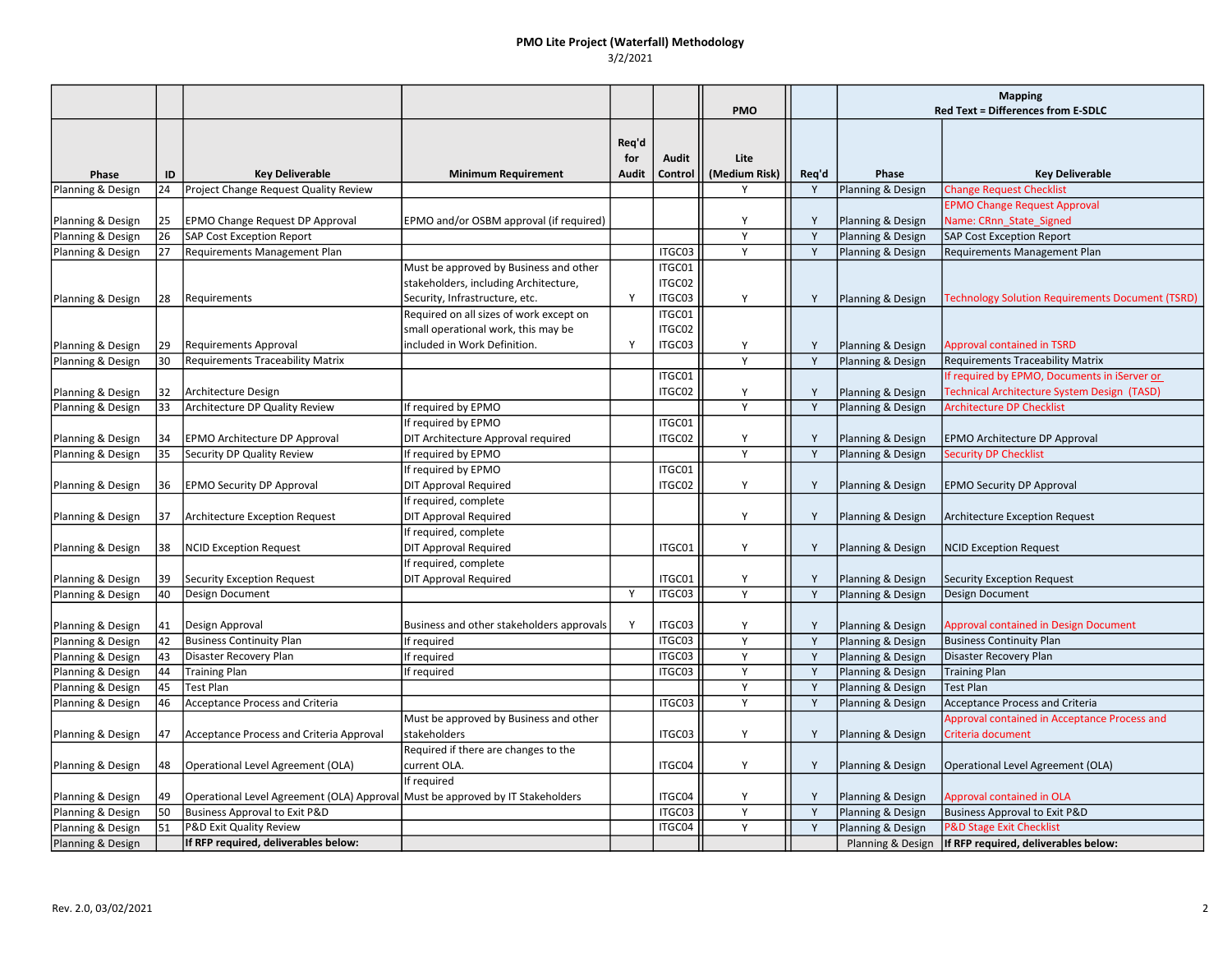# PMO Lite Project (Waterfall) Methodology

3/2/2021

|                   |    |                                                                                |                                           |              |                  |               |              | <b>Mapping</b>    |                                                          |
|-------------------|----|--------------------------------------------------------------------------------|-------------------------------------------|--------------|------------------|---------------|--------------|-------------------|----------------------------------------------------------|
|                   |    |                                                                                |                                           |              |                  | <b>PMO</b>    |              |                   | <b>Red Text = Differences from E-SDLC</b>                |
|                   |    |                                                                                |                                           |              |                  |               |              |                   |                                                          |
|                   |    |                                                                                |                                           | Req'd        |                  |               |              |                   |                                                          |
|                   |    |                                                                                |                                           | for          | Audit            | Lite          |              |                   |                                                          |
| Phase             | ID | <b>Key Deliverable</b>                                                         | <b>Minimum Requirement</b>                | Audit        | Control          | (Medium Risk) | Req'd        | Phase             | <b>Key Deliverable</b>                                   |
| Planning & Design | 24 | Project Change Request Quality Review                                          |                                           |              |                  | Υ             | Y            | Planning & Design | <b>Change Request Checklist</b>                          |
|                   |    |                                                                                |                                           |              |                  |               |              |                   | <b>EPMO Change Request Approval</b>                      |
| Planning & Design | 25 | <b>EPMO Change Request DP Approval</b>                                         | EPMO and/or OSBM approval (if required)   |              |                  | Υ<br>Y        | Y<br>Y       | Planning & Design | Name: CRnn State Signed                                  |
| Planning & Design | 26 | <b>SAP Cost Exception Report</b>                                               |                                           |              |                  | Y             | $\mathsf{Y}$ | Planning & Design | <b>SAP Cost Exception Report</b>                         |
| Planning & Design | 27 | Requirements Management Plan                                                   | Must be approved by Business and other    |              | ITGC03<br>ITGC01 |               |              | Planning & Design | Requirements Management Plan                             |
|                   |    |                                                                                | stakeholders, including Architecture,     |              | ITGC02           |               |              |                   |                                                          |
|                   | 28 | Requirements                                                                   | Security, Infrastructure, etc.            | Y            | ITGC03           | Υ             | Y            |                   | <b>Technology Solution Requirements Document (TSRD)</b>  |
| Planning & Design |    |                                                                                | Required on all sizes of work except on   |              | ITGC01           |               |              | Planning & Design |                                                          |
|                   |    |                                                                                | small operational work, this may be       |              | ITGC02           |               |              |                   |                                                          |
| Planning & Design | 29 | <b>Requirements Approval</b>                                                   | included in Work Definition.              | <sup>V</sup> | ITGC03           | Y             | Y            | Planning & Design | <b>Approval contained in TSRD</b>                        |
| Planning & Design | 30 | <b>Requirements Traceability Matrix</b>                                        |                                           |              |                  | Y             | Y            | Planning & Design | <b>Requirements Traceability Matrix</b>                  |
|                   |    |                                                                                |                                           |              | ITGC01           |               |              |                   | If required by EPMO, Documents in iServer or             |
| Planning & Design | 32 | Architecture Design                                                            |                                           |              | ITGC02           | Υ             | Y            | Planning & Design | Technical Architecture System Design (TASD)              |
| Planning & Design | 33 | Architecture DP Quality Review                                                 | If required by EPMO                       |              |                  | Y             | Y            | Planning & Design | <b>Architecture DP Checklist</b>                         |
|                   |    |                                                                                | If required by EPMO                       |              | ITGC01           |               |              |                   |                                                          |
| Planning & Design | 34 | EPMO Architecture DP Approval                                                  | DIT Architecture Approval required        |              | ITGC02           | Y             | Y            | Planning & Design | EPMO Architecture DP Approval                            |
| Planning & Design | 35 | Security DP Quality Review                                                     | If required by EPMO                       |              |                  | Y             | Y            | Planning & Design | <b>Security DP Checklist</b>                             |
|                   |    |                                                                                | If required by EPMO                       |              | ITGC01           |               |              |                   |                                                          |
| Planning & Design | 36 | <b>EPMO Security DP Approval</b>                                               | <b>DIT Approval Required</b>              |              | ITGC02           | Y             | Y            | Planning & Design | <b>EPMO Security DP Approval</b>                         |
|                   |    |                                                                                | If required, complete                     |              |                  |               |              |                   |                                                          |
| Planning & Design | 37 | <b>Architecture Exception Request</b>                                          | <b>DIT Approval Required</b>              |              |                  | Y             | Y            | Planning & Design | Architecture Exception Request                           |
|                   |    |                                                                                | If required, complete                     |              |                  |               |              |                   |                                                          |
| Planning & Design | 38 | <b>NCID Exception Request</b>                                                  | <b>DIT Approval Required</b>              |              | ITGC01           | Y             | Y            | Planning & Design | <b>NCID Exception Request</b>                            |
|                   |    |                                                                                | If required, complete                     |              |                  |               |              |                   |                                                          |
| Planning & Design | 39 | <b>Security Exception Request</b>                                              | <b>DIT Approval Required</b>              |              | ITGC01           | Υ             | Y            | Planning & Design | <b>Security Exception Request</b>                        |
| Planning & Design | 40 | Design Document                                                                |                                           | Y            | ITGC03           | Y             | Y            | Planning & Design | <b>Design Document</b>                                   |
|                   |    |                                                                                |                                           |              |                  |               |              |                   |                                                          |
| Planning & Design | 41 | Design Approval                                                                | Business and other stakeholders approvals | $\mathbf{Y}$ | ITGC03           | Υ             | $\mathsf{Y}$ | Planning & Design | <b>Approval contained in Design Document</b>             |
| Planning & Design | 42 | <b>Business Continuity Plan</b>                                                | If required                               |              | ITGC03           | Y             | Y            | Planning & Design | <b>Business Continuity Plan</b>                          |
| Planning & Design | 43 | Disaster Recovery Plan                                                         | If required                               |              | ITGC03           | Y             | Y            | Planning & Design | Disaster Recovery Plan                                   |
| Planning & Design | 44 | <b>Training Plan</b>                                                           | If required                               |              | ITGC03           | Y             | Y            | Planning & Design | <b>Training Plan</b>                                     |
| Planning & Design | 45 | <b>Test Plan</b>                                                               |                                           |              |                  | Y             | Y            | Planning & Design | <b>Test Plan</b>                                         |
| Planning & Design | 46 | <b>Acceptance Process and Criteria</b>                                         |                                           |              | ITGC03           | Υ             | Y            | Planning & Design | Acceptance Process and Criteria                          |
|                   |    |                                                                                | Must be approved by Business and other    |              |                  |               |              |                   | Approval contained in Acceptance Process and             |
| Planning & Design | 47 | Acceptance Process and Criteria Approval                                       | stakeholders                              |              | ITGC03           | Y             | Y            | Planning & Design | Criteria document                                        |
|                   |    |                                                                                | Required if there are changes to the      |              |                  |               |              |                   |                                                          |
| Planning & Design | 48 | Operational Level Agreement (OLA)                                              | current OLA.                              |              | ITGC04           | Υ             | Y            | Planning & Design | Operational Level Agreement (OLA)                        |
|                   |    |                                                                                | If required                               |              |                  |               |              |                   |                                                          |
| Planning & Design | 49 | Operational Level Agreement (OLA) Approval Must be approved by IT Stakeholders |                                           |              | ITGC04           | Υ             | Y            | Planning & Design | Approval contained in OLA                                |
| Planning & Design | 50 | <b>Business Approval to Exit P&amp;D</b>                                       |                                           |              | ITGC03           | Y             | Y            | Planning & Design | <b>Business Approval to Exit P&amp;D</b>                 |
| Planning & Design | 51 | P&D Exit Quality Review                                                        |                                           |              | ITGC04           | Υ             | Y            | Planning & Design | <b>P&amp;D Stage Exit Checklist</b>                      |
| Planning & Design |    | If RFP required, deliverables below:                                           |                                           |              |                  |               |              |                   | Planning & Design   If RFP required, deliverables below: |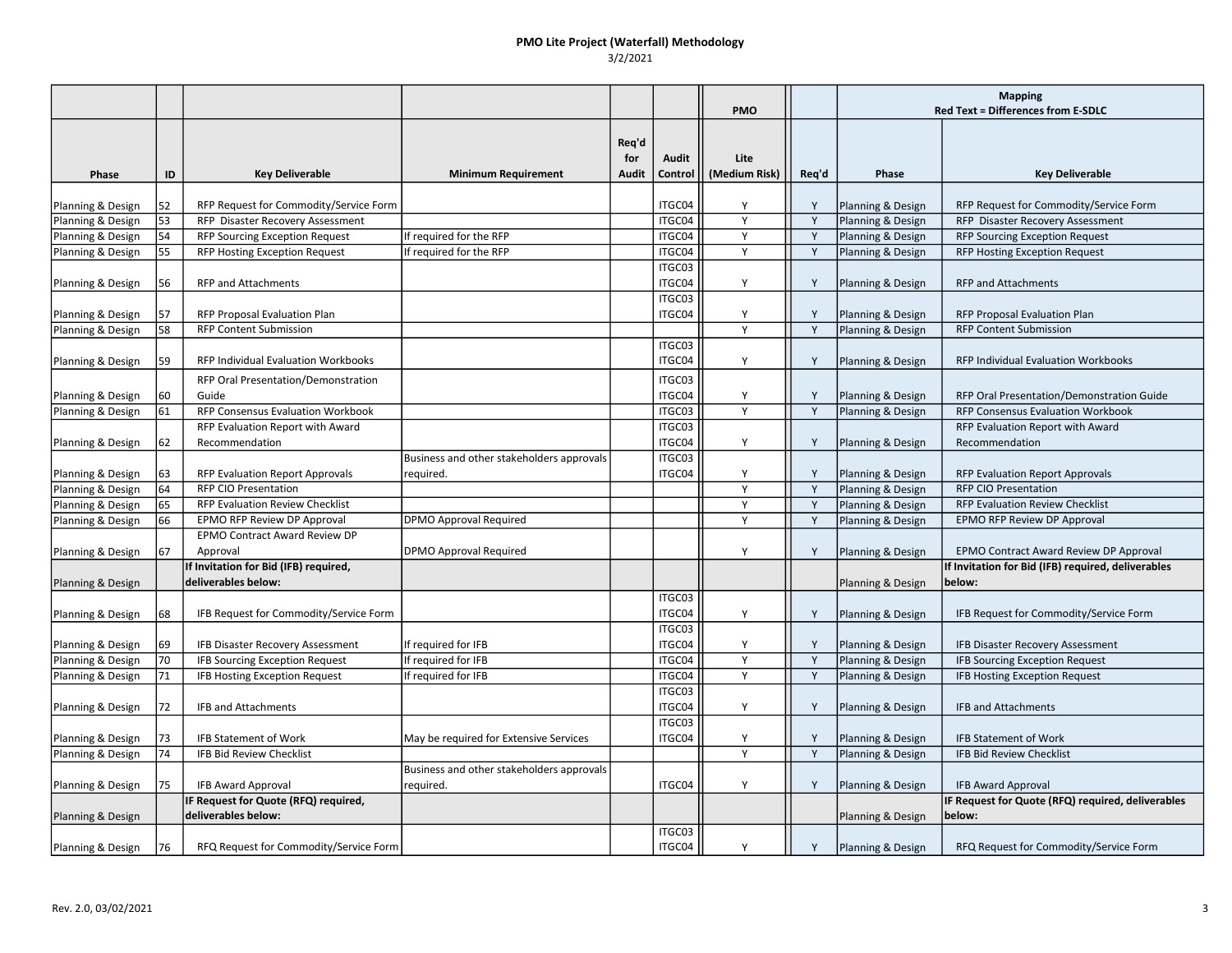#### PMO Lite Project (Waterfall) Methodology 3/2/2021

|                   |    |                                            |                                           |       |         | <b>PMO</b>     |       | <b>Mapping</b><br>Red Text = Differences from E-SDLC |                                                    |
|-------------------|----|--------------------------------------------|-------------------------------------------|-------|---------|----------------|-------|------------------------------------------------------|----------------------------------------------------|
|                   |    |                                            |                                           |       |         |                |       |                                                      |                                                    |
|                   |    |                                            |                                           | Reg'd |         |                |       |                                                      |                                                    |
|                   |    |                                            |                                           | for   | Audit   | Lite           |       |                                                      |                                                    |
| Phase             | ID | <b>Key Deliverable</b>                     | <b>Minimum Requirement</b>                | Audit | Control | (Medium Risk)  | Req'd | Phase                                                | <b>Key Deliverable</b>                             |
|                   |    |                                            |                                           |       |         |                |       |                                                      |                                                    |
| Planning & Design | 52 | RFP Request for Commodity/Service Form     |                                           |       | ITGC04  | Y              | Y     | Planning & Design                                    | RFP Request for Commodity/Service Form             |
| Planning & Design | 53 | RFP Disaster Recovery Assessment           |                                           |       | ITGC04  | Y              | Y     | Planning & Design                                    | RFP Disaster Recovery Assessment                   |
| Planning & Design | 54 | <b>RFP Sourcing Exception Request</b>      | If required for the RFP                   |       | ITGC04  | Y              | Y     | Planning & Design                                    | <b>RFP Sourcing Exception Request</b>              |
| Planning & Design | 55 | <b>RFP Hosting Exception Request</b>       | If required for the RFP                   |       | ITGC04  | Y              | Y     | Planning & Design                                    | <b>RFP Hosting Exception Request</b>               |
|                   |    |                                            |                                           |       | ITGC03  |                |       |                                                      |                                                    |
| Planning & Design | 56 | <b>RFP and Attachments</b>                 |                                           |       | ITGC04  | Y              | Y     | Planning & Design                                    | <b>RFP and Attachments</b>                         |
|                   |    |                                            |                                           |       | ITGC03  |                |       |                                                      |                                                    |
| Planning & Design | 57 | RFP Proposal Evaluation Plan               |                                           |       | ITGC04  | Y              | Y     | Planning & Design                                    | RFP Proposal Evaluation Plan                       |
| Planning & Design | 58 | <b>RFP Content Submission</b>              |                                           |       |         | $\overline{Y}$ | Y     | Planning & Design                                    | <b>RFP Content Submission</b>                      |
|                   |    |                                            |                                           |       | ITGC03  |                |       |                                                      |                                                    |
| Planning & Design | 59 | <b>RFP Individual Evaluation Workbooks</b> |                                           |       | ITGC04  | Y              | Y     | Planning & Design                                    | <b>RFP Individual Evaluation Workbooks</b>         |
|                   |    | RFP Oral Presentation/Demonstration        |                                           |       | ITGC03  |                |       |                                                      |                                                    |
| Planning & Design | 60 | Guide                                      |                                           |       | ITGC04  | Y              | Y     | Planning & Design                                    | RFP Oral Presentation/Demonstration Guide          |
| Planning & Design | 61 | RFP Consensus Evaluation Workbook          |                                           |       | ITGC03  | Y              | Y     | Planning & Design                                    | RFP Consensus Evaluation Workbook                  |
|                   |    | RFP Evaluation Report with Award           |                                           |       | ITGC03  |                |       |                                                      | RFP Evaluation Report with Award                   |
| Planning & Design | 62 | Recommendation                             |                                           |       | ITGC04  | Y              | Y     | Planning & Design                                    | Recommendation                                     |
|                   |    |                                            | Business and other stakeholders approvals |       | ITGC03  |                |       |                                                      |                                                    |
| Planning & Design | 63 | RFP Evaluation Report Approvals            | required.                                 |       | ITGC04  | Y              | Y     | Planning & Design                                    | <b>RFP Evaluation Report Approvals</b>             |
| Planning & Design | 64 | <b>RFP CIO Presentation</b>                |                                           |       |         | Y              | Y     | Planning & Design                                    | <b>RFP CIO Presentation</b>                        |
| Planning & Design | 65 | <b>RFP Evaluation Review Checklist</b>     |                                           |       |         | Y              | Y     | Planning & Design                                    | <b>RFP Evaluation Review Checklist</b>             |
| Planning & Design | 66 | EPMO RFP Review DP Approval                | <b>DPMO Approval Required</b>             |       |         | Y              | Y     | Planning & Design                                    | EPMO RFP Review DP Approval                        |
|                   |    | EPMO Contract Award Review DP              |                                           |       |         |                |       |                                                      |                                                    |
| Planning & Design | 67 | Approval                                   | <b>DPMO Approval Required</b>             |       |         | Y              | Y     | Planning & Design                                    | EPMO Contract Award Review DP Approval             |
|                   |    | If Invitation for Bid (IFB) required,      |                                           |       |         |                |       |                                                      | If Invitation for Bid (IFB) required, deliverables |
| Planning & Design |    | deliverables below:                        |                                           |       |         |                |       | Planning & Design                                    | below:                                             |
|                   |    |                                            |                                           |       | ITGC03  |                |       |                                                      |                                                    |
| Planning & Design | 68 | IFB Request for Commodity/Service Form     |                                           |       | ITGC04  | Y              | Y     | Planning & Design                                    | IFB Request for Commodity/Service Form             |
|                   |    |                                            |                                           |       | ITGC03  |                |       |                                                      |                                                    |
| Planning & Design | 69 | IFB Disaster Recovery Assessment           | If required for IFB                       |       | ITGC04  | Y              | Y     | Planning & Design                                    | IFB Disaster Recovery Assessment                   |
| Planning & Design | 70 | IFB Sourcing Exception Request             | If required for IFB                       |       | ITGC04  | Y              | Y     | Planning & Design                                    | IFB Sourcing Exception Request                     |
| Planning & Design | 71 | IFB Hosting Exception Request              | If required for IFB                       |       | ITGC04  | Y              | Y     | Planning & Design                                    | <b>IFB Hosting Exception Request</b>               |
|                   |    |                                            |                                           |       | ITGC03  |                |       |                                                      |                                                    |
| Planning & Design | 72 | IFB and Attachments                        |                                           |       | ITGC04  | Υ              | Y     | Planning & Design                                    | IFB and Attachments                                |
|                   |    |                                            |                                           |       | ITGC03  |                |       |                                                      |                                                    |
| Planning & Design | 73 | <b>IFB Statement of Work</b>               | May be required for Extensive Services    |       | ITGC04  | Υ              | Y     | Planning & Design                                    | <b>IFB Statement of Work</b>                       |
| Planning & Design | 74 | <b>IFB Bid Review Checklist</b>            |                                           |       |         | Y              | Y     | Planning & Design                                    | <b>IFB Bid Review Checklist</b>                    |
|                   |    |                                            | Business and other stakeholders approvals |       |         |                |       |                                                      |                                                    |
| Planning & Design | 75 | <b>IFB Award Approval</b>                  | required.                                 |       | ITGC04  | Y              | Y     | Planning & Design                                    | <b>IFB Award Approval</b>                          |
|                   |    | IF Request for Quote (RFQ) required,       |                                           |       |         |                |       |                                                      | IF Request for Quote (RFQ) required, deliverables  |
| Planning & Design |    | deliverables below:                        |                                           |       |         |                |       | Planning & Design                                    | below:                                             |
|                   |    |                                            |                                           |       | ITGC03  |                |       |                                                      |                                                    |
| Planning & Design | 76 | RFQ Request for Commodity/Service Form     |                                           |       | ITGC04  | Y              | Y     | Planning & Design                                    | RFQ Request for Commodity/Service Form             |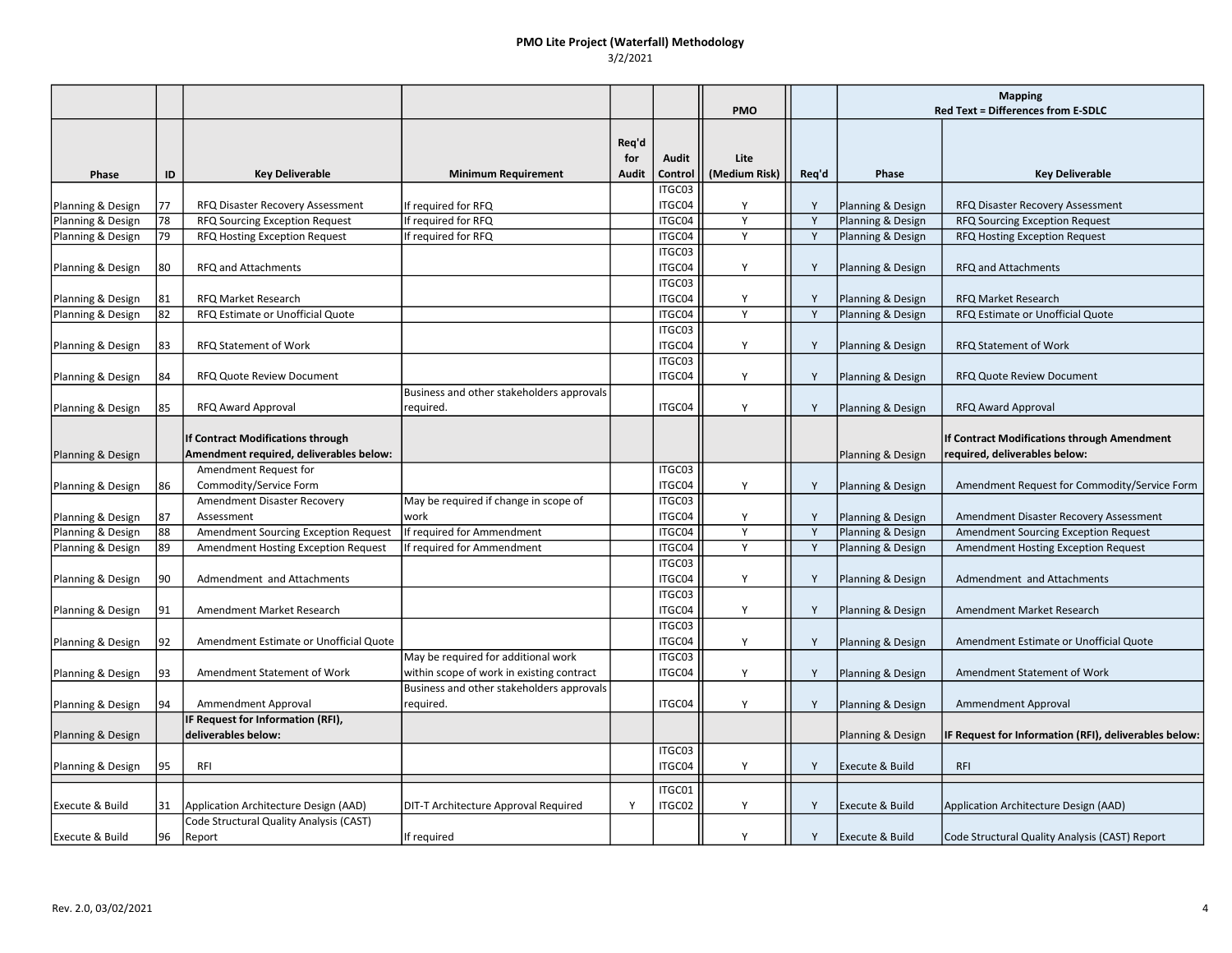#### PMO Lite Project (Waterfall) Methodology 3/2/2021

|                   |    |                                                                              |                                           |                       |                  | <b>PMO</b>            |       | <b>Mapping</b><br><b>Red Text = Differences from E-SDLC</b> |                                                                              |
|-------------------|----|------------------------------------------------------------------------------|-------------------------------------------|-----------------------|------------------|-----------------------|-------|-------------------------------------------------------------|------------------------------------------------------------------------------|
| Phase             | ID | <b>Key Deliverable</b>                                                       | <b>Minimum Requirement</b>                | Req'd<br>for<br>Audit | Audit<br>Control | Lite<br>(Medium Risk) | Req'd | Phase                                                       | <b>Key Deliverable</b>                                                       |
|                   |    |                                                                              |                                           |                       | ITGC03           |                       |       |                                                             |                                                                              |
| Planning & Design | 77 | RFQ Disaster Recovery Assessment                                             | If required for RFQ                       |                       | ITGC04           | Y                     | Y     | Planning & Design                                           | RFQ Disaster Recovery Assessment                                             |
| Planning & Design | 78 | RFQ Sourcing Exception Request                                               | If required for RFQ                       |                       | ITGC04           | Y                     | Y     | Planning & Design                                           | RFQ Sourcing Exception Request                                               |
| Planning & Design | 79 | RFQ Hosting Exception Request                                                | If required for RFQ                       |                       | ITGC04           | Y                     | Y     | Planning & Design                                           | RFQ Hosting Exception Request                                                |
| Planning & Design | 80 | RFQ and Attachments                                                          |                                           |                       | ITGC03<br>ITGC04 | Y                     | Y     | Planning & Design                                           | RFQ and Attachments                                                          |
| Planning & Design | 81 | <b>RFQ Market Research</b>                                                   |                                           |                       | ITGC03<br>ITGC04 | Y                     | Y     | Planning & Design                                           | <b>RFQ Market Research</b>                                                   |
| Planning & Design | 82 | RFQ Estimate or Unofficial Quote                                             |                                           |                       | ITGC04           | Y                     | Y     | Planning & Design                                           | RFQ Estimate or Unofficial Quote                                             |
|                   |    |                                                                              |                                           |                       | ITGC03           |                       |       |                                                             |                                                                              |
| Planning & Design | 83 | RFQ Statement of Work                                                        |                                           |                       | ITGC04           | Y                     | Y     | Planning & Design                                           | RFQ Statement of Work                                                        |
|                   |    |                                                                              |                                           |                       | ITGC03           |                       |       |                                                             |                                                                              |
| Planning & Design | 84 | <b>RFQ Quote Review Document</b>                                             |                                           |                       | ITGC04           | Υ                     | Y     | Planning & Design                                           | RFQ Quote Review Document                                                    |
|                   |    |                                                                              | Business and other stakeholders approvals |                       |                  |                       |       |                                                             |                                                                              |
| Planning & Design | 85 | RFQ Award Approval                                                           | required.                                 |                       | ITGC04           | Y                     | Y     | Planning & Design                                           | <b>RFQ Award Approval</b>                                                    |
|                   |    | If Contract Modifications through<br>Amendment required, deliverables below: |                                           |                       |                  |                       |       | Planning & Design                                           | If Contract Modifications through Amendment<br>required, deliverables below: |
| Planning & Design |    | Amendment Request for                                                        |                                           |                       | ITGC03           |                       |       |                                                             |                                                                              |
| Planning & Design | 86 | Commodity/Service Form                                                       |                                           |                       | ITGC04           | Y                     | Y     | Planning & Design                                           | Amendment Request for Commodity/Service Form                                 |
|                   |    | Amendment Disaster Recovery                                                  | May be required if change in scope of     |                       | ITGC03           |                       |       |                                                             |                                                                              |
| Planning & Design | 87 | Assessment                                                                   | work                                      |                       | ITGC04           | Y                     | Y     | Planning & Design                                           | Amendment Disaster Recovery Assessment                                       |
| Planning & Design | 88 | <b>Amendment Sourcing Exception Request</b>                                  | If required for Ammendment                |                       | ITGC04           | Y                     | Y     | Planning & Design                                           | <b>Amendment Sourcing Exception Request</b>                                  |
| Planning & Design | 89 | Amendment Hosting Exception Request                                          | If required for Ammendment                |                       | ITGC04           | Y                     | Y     | Planning & Design                                           | Amendment Hosting Exception Request                                          |
|                   |    |                                                                              |                                           |                       | ITGC03           |                       |       |                                                             |                                                                              |
| Planning & Design | 90 | Admendment and Attachments                                                   |                                           |                       | ITGC04           | Y                     | Y     | Planning & Design                                           | Admendment and Attachments                                                   |
|                   |    |                                                                              |                                           |                       | ITGC03           |                       |       |                                                             |                                                                              |
| Planning & Design | 91 | Amendment Market Research                                                    |                                           |                       | ITGC04           | Y                     | Y     | Planning & Design                                           | Amendment Market Research                                                    |
|                   |    |                                                                              |                                           |                       | ITGC03           |                       |       |                                                             |                                                                              |
| Planning & Design | 92 | Amendment Estimate or Unofficial Quote                                       |                                           |                       | ITGC04           | Y                     | Y     | Planning & Design                                           | Amendment Estimate or Unofficial Quote                                       |
|                   |    |                                                                              | May be required for additional work       |                       | ITGC03           |                       |       |                                                             |                                                                              |
| Planning & Design | 93 | Amendment Statement of Work                                                  | within scope of work in existing contract |                       | ITGC04           | Y                     | Y     | Planning & Design                                           | Amendment Statement of Work                                                  |
|                   |    |                                                                              | Business and other stakeholders approvals |                       |                  |                       |       |                                                             |                                                                              |
| Planning & Design | 94 | Ammendment Approval                                                          | required.                                 |                       | ITGC04           | Y                     | Y     | Planning & Design                                           | Ammendment Approval                                                          |
|                   |    | <b>IF Request for Information (RFI),</b>                                     |                                           |                       |                  |                       |       |                                                             |                                                                              |
| Planning & Design |    | deliverables below:                                                          |                                           |                       |                  |                       |       | Planning & Design                                           | IF Request for Information (RFI), deliverables below:                        |
|                   |    |                                                                              |                                           |                       | ITGC03           |                       |       |                                                             |                                                                              |
| Planning & Design | 95 | RFI                                                                          |                                           |                       | ITGC04           | Y                     | Y     | <b>Execute &amp; Build</b>                                  | <b>RFI</b>                                                                   |
|                   |    |                                                                              |                                           |                       | ITGC01           |                       |       |                                                             |                                                                              |
| Execute & Build   | 31 | Application Architecture Design (AAD)                                        | DIT-T Architecture Approval Required      | Y                     | ITGC02           | Y                     | Y     | <b>Execute &amp; Build</b>                                  | Application Architecture Design (AAD)                                        |
|                   |    | Code Structural Quality Analysis (CAST)                                      |                                           |                       |                  |                       |       |                                                             |                                                                              |
| Execute & Build   | 96 | Report                                                                       | If required                               |                       |                  | Y                     | Y     | <b>Execute &amp; Build</b>                                  | Code Structural Quality Analysis (CAST) Report                               |